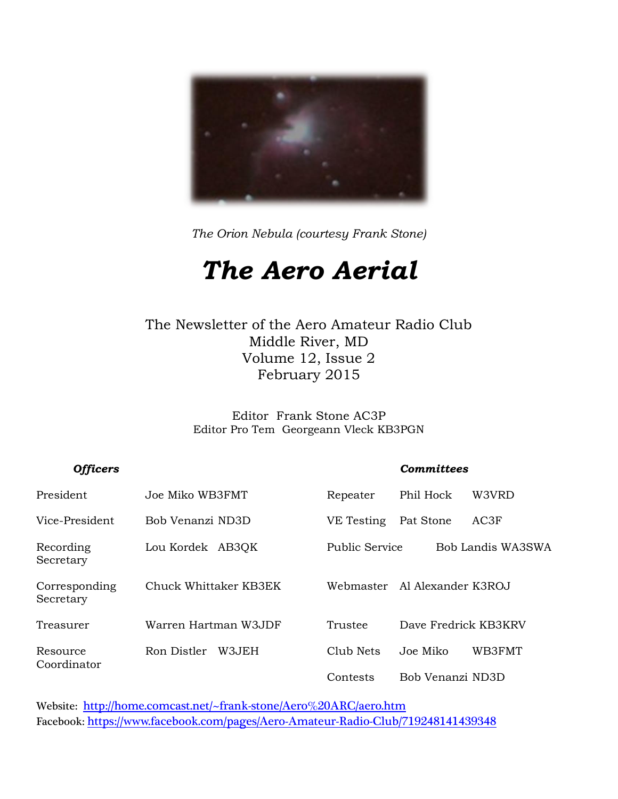

*The Orion Nebula (courtesy Frank Stone)*

## *The Aero Aerial*

#### The Newsletter of the Aero Amateur Radio Club Middle River, MD Volume 12, Issue 2 February 2015

Editor Frank Stone AC3P Editor Pro Tem Georgeann Vleck KB3PGN

#### *Officers Committees*

| President                  | Joe Miko WB3FMT       | Repeater              | Phil Hock            | W3VRD             |
|----------------------------|-----------------------|-----------------------|----------------------|-------------------|
| Vice-President             | Bob Venanzi ND3D      | VE Testing            | Pat Stone            | AC3F              |
| Recording<br>Secretary     | Lou Kordek AB3QK      | <b>Public Service</b> |                      | Bob Landis WA3SWA |
| Corresponding<br>Secretary | Chuck Whittaker KB3EK | Webmaster             | Al Alexander K3ROJ   |                   |
| Treasurer                  | Warren Hartman W3JDF  | Trustee               | Dave Fredrick KB3KRV |                   |
| Resource<br>Coordinator    | Ron Distler<br>W3.JEH | Club Nets             | Joe Miko             | WB3FMT            |
|                            |                       | Contests              | Bob Venanzi ND3D     |                   |

Website: <http://home.comcast.net/~frank-stone/Aero%20ARC/aero.htm> Facebook: <https://www.facebook.com/pages/Aero-Amateur-Radio-Club/719248141439348>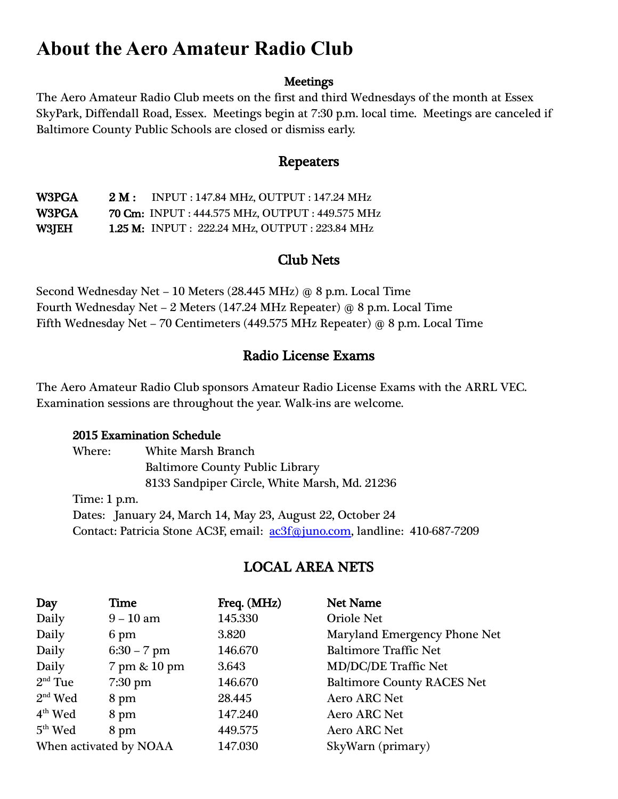## **About the Aero Amateur Radio Club**

#### **Meetings**

The Aero Amateur Radio Club meets on the first and third Wednesdays of the month at Essex SkyPark, Diffendall Road, Essex. Meetings begin at 7:30 p.m. local time. Meetings are canceled if Baltimore County Public Schools are closed or dismiss early.

#### Repeaters

W3PGA 2 M : INPUT : 147.84 MHz, OUTPUT : 147.24 MHz W3PGA 70 Cm: INPUT : 444.575 MHz, OUTPUT : 449.575 MHz W3JEH 1.25 M: INPUT : 222.24 MHz, OUTPUT : 223.84 MHz

#### Club Nets

Second Wednesday Net – 10 Meters (28.445 MHz) @ 8 p.m. Local Time Fourth Wednesday Net – 2 Meters (147.24 MHz Repeater) @ 8 p.m. Local Time Fifth Wednesday Net – 70 Centimeters (449.575 MHz Repeater) @ 8 p.m. Local Time

#### Radio License Exams

The Aero Amateur Radio Club sponsors Amateur Radio License Exams with the ARRL VEC. Examination sessions are throughout the year. Walk-ins are welcome.

#### 2015 Examination Schedule

Where: White Marsh Branch Baltimore County Public Library 8133 Sandpiper Circle, White Marsh, Md. 21236 Time: 1 p.m. Dates: January 24, March 14, May 23, August 22, October 24 Contact: Patricia Stone AC3F, email: <u>ac3f@juno.com</u>, landline: 410-687-7209

#### LOCAL AREA NETS

| Day                    | Time          | Freq. (MHz) | <b>Net Name</b>                   |
|------------------------|---------------|-------------|-----------------------------------|
| Daily                  | $9 - 10$ am   | 145.330     | <b>Oriole Net</b>                 |
| Daily                  | 6 pm          | 3.820       | Maryland Emergency Phone Net      |
| Daily                  | $6:30 - 7$ pm | 146.670     | <b>Baltimore Traffic Net</b>      |
| Daily                  | 7 pm & 10 pm  | 3.643       | <b>MD/DC/DE Traffic Net</b>       |
| $2nd$ Tue              | $7:30$ pm     | 146.670     | <b>Baltimore County RACES Net</b> |
| $2nd$ Wed              | 8 pm          | 28.445      | <b>Aero ARC Net</b>               |
| $4th$ Wed              | 8 pm          | 147.240     | <b>Aero ARC Net</b>               |
| $5th$ Wed              | 8 pm          | 449.575     | <b>Aero ARC Net</b>               |
| When activated by NOAA |               | 147.030     | SkyWarn (primary)                 |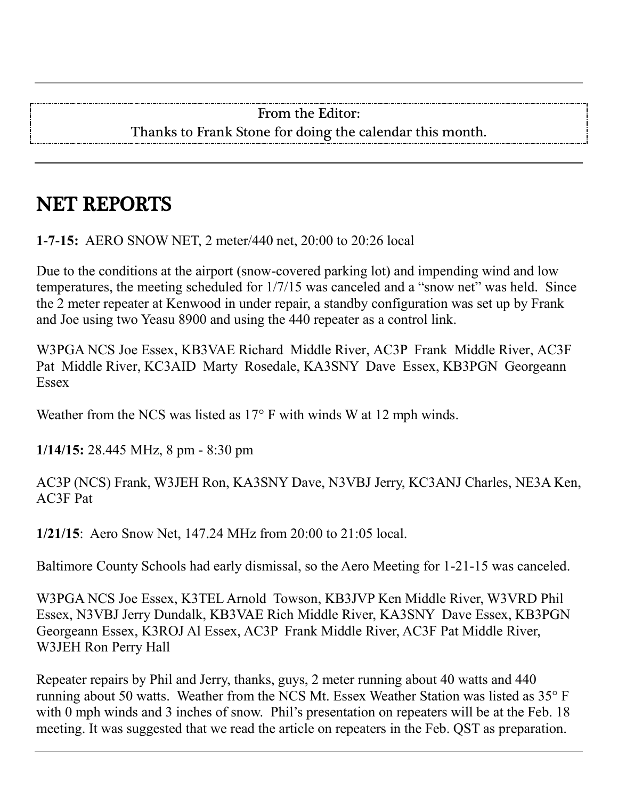#### From the Editor: Thanks to Frank Stone for doing the calendar this month.

## NET REPORTS

**1-7-15:** AERO SNOW NET, 2 meter/440 net, 20:00 to 20:26 local

Due to the conditions at the airport (snow-covered parking lot) and impending wind and low temperatures, the meeting scheduled for 1/7/15 was canceled and a "snow net" was held. Since the 2 meter repeater at Kenwood in under repair, a standby configuration was set up by Frank and Joe using two Yeasu 8900 and using the 440 repeater as a control link.

W3PGA NCS Joe Essex, KB3VAE Richard Middle River, AC3P Frank Middle River, AC3F Pat Middle River, KC3AID Marty Rosedale, KA3SNY Dave Essex, KB3PGN Georgeann **Essex** 

Weather from the NCS was listed as 17° F with winds W at 12 mph winds.

**1/14/15:** 28.445 MHz, 8 pm - 8:30 pm

AC3P (NCS) Frank, W3JEH Ron, KA3SNY Dave, N3VBJ Jerry, KC3ANJ Charles, NE3A Ken, AC3F Pat

**1/21/15**: Aero Snow Net, 147.24 MHz from 20:00 to 21:05 local.

Baltimore County Schools had early dismissal, so the Aero Meeting for 1-21-15 was canceled.

W3PGA NCS Joe Essex, K3TEL Arnold Towson, KB3JVP Ken Middle River, W3VRD Phil Essex, N3VBJ Jerry Dundalk, KB3VAE Rich Middle River, KA3SNY Dave Essex, KB3PGN Georgeann Essex, K3ROJ Al Essex, AC3P Frank Middle River, AC3F Pat Middle River, W3JEH Ron Perry Hall

Repeater repairs by Phil and Jerry, thanks, guys, 2 meter running about 40 watts and 440 running about 50 watts. Weather from the NCS Mt. Essex Weather Station was listed as 35° F with 0 mph winds and 3 inches of snow. Phil's presentation on repeaters will be at the Feb. 18 meeting. It was suggested that we read the article on repeaters in the Feb. QST as preparation.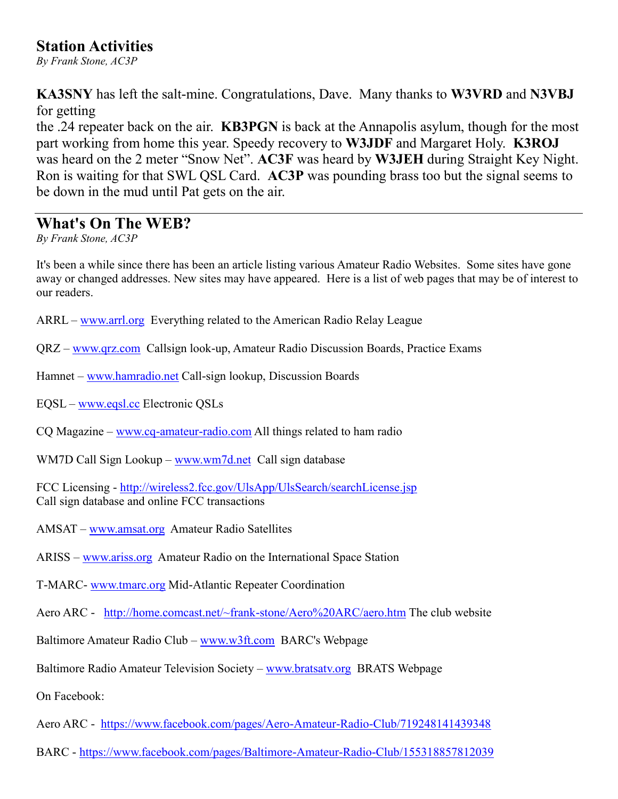#### **Station Activities**

*By Frank Stone, AC3P*

**KA3SNY** has left the salt-mine. Congratulations, Dave. Many thanks to **W3VRD** and **N3VBJ** for getting

the .24 repeater back on the air. **KB3PGN** is back at the Annapolis asylum, though for the most part working from home this year. Speedy recovery to **W3JDF** and Margaret Holy. **K3ROJ** was heard on the 2 meter "Snow Net". **AC3F** was heard by **W3JEH** during Straight Key Night. Ron is waiting for that SWL QSL Card. **AC3P** was pounding brass too but the signal seems to be down in the mud until Pat gets on the air.

#### **What's On The WEB?**

*By Frank Stone, AC3P*

It's been a while since there has been an article listing various Amateur Radio Websites. Some sites have gone away or changed addresses. New sites may have appeared. Here is a list of web pages that may be of interest to our readers.

- ARRL [www.arrl.org](http://www.arrl.org/) Everything related to the American Radio Relay League
- QRZ [www.qrz.com](http://www.qrz.com/) Callsign look-up, Amateur Radio Discussion Boards, Practice Exams
- Hamnet [www.hamradio.net](http://www.hamradio.net/) Call-sign lookup, Discussion Boards
- EQSL [www.eqsl.cc](http://www.eqsl.cc/) Electronic QSLs
- CQ Magazine [www.cq-amateur-radio.com](http://www.cq-amateur-radio.com/) All things related to ham radio
- WM7D Call Sign Lookup [www.wm7d.net](http://www.wm7d.net/) Call sign database

FCC Licensing - <http://wireless2.fcc.gov/UlsApp/UlsSearch/searchLicense.jsp> Call sign database and online FCC transactions

- AMSAT [www.amsat.org](http://www.amsat.org/) Amateur Radio Satellites
- ARISS [www.ariss.org](http://www.ariss.org/) Amateur Radio on the International Space Station
- T-MARC- [www.tmarc.org](http://www.tmarc.org/) Mid-Atlantic Repeater Coordination
- Aero ARC <http://home.comcast.net/~frank-stone/Aero%20ARC/aero.htm> The club website
- Baltimore Amateur Radio Club [www.w3ft.com](http://www.w3ft.com/) BARC's Webpage
- Baltimore Radio Amateur Television Society [www.bratsatv.org](http://www.bratsatv.org/) BRATS Webpage

On Facebook:

- Aero ARC <https://www.facebook.com/pages/Aero-Amateur-Radio-Club/719248141439348>
- BARC <https://www.facebook.com/pages/Baltimore-Amateur-Radio-Club/155318857812039>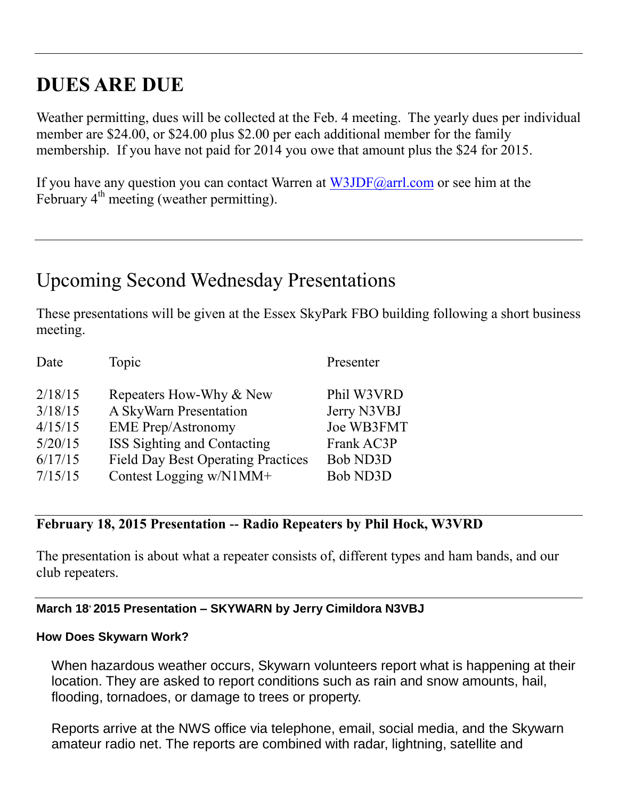## **DUES ARE DUE**

Weather permitting, dues will be collected at the Feb. 4 meeting. The yearly dues per individual member are \$24.00, or \$24.00 plus \$2.00 per each additional member for the family membership. If you have not paid for 2014 you owe that amount plus the \$24 for 2015.

If you have any question you can contact Warren at [W3JDF@arrl.com](mailto:W3JDF@arrl.com) or see him at the February  $4<sup>th</sup>$  meeting (weather permitting).

## Upcoming Second Wednesday Presentations

These presentations will be given at the Essex SkyPark FBO building following a short business meeting.

| Date    | Topic                                     | Presenter       |
|---------|-------------------------------------------|-----------------|
| 2/18/15 | Repeaters How-Why & New                   | Phil W3VRD      |
| 3/18/15 | A SkyWarn Presentation                    | Jerry N3VBJ     |
| 4/15/15 | <b>EME</b> Prep/Astronomy                 | Joe WB3FMT      |
| 5/20/15 | ISS Sighting and Contacting               | Frank AC3P      |
| 6/17/15 | <b>Field Day Best Operating Practices</b> | <b>Bob ND3D</b> |
| 7/15/15 | Contest Logging w/N1MM+                   | <b>Bob ND3D</b> |

#### **February 18, 2015 Presentation -- Radio Repeaters by Phil Hock, W3VRD**

The presentation is about what a repeater consists of, different types and ham bands, and our club repeaters.

#### **March 18, 2015 Presentation – SKYWARN by Jerry Cimildora N3VBJ**

#### **How Does Skywarn Work?**

When hazardous weather occurs, Skywarn volunteers report what is happening at their location. They are asked to report conditions such as rain and snow amounts, hail, flooding, tornadoes, or damage to trees or property.

Reports arrive at the NWS office via telephone, email, social media, and the Skywarn amateur radio net. The reports are combined with radar, lightning, satellite and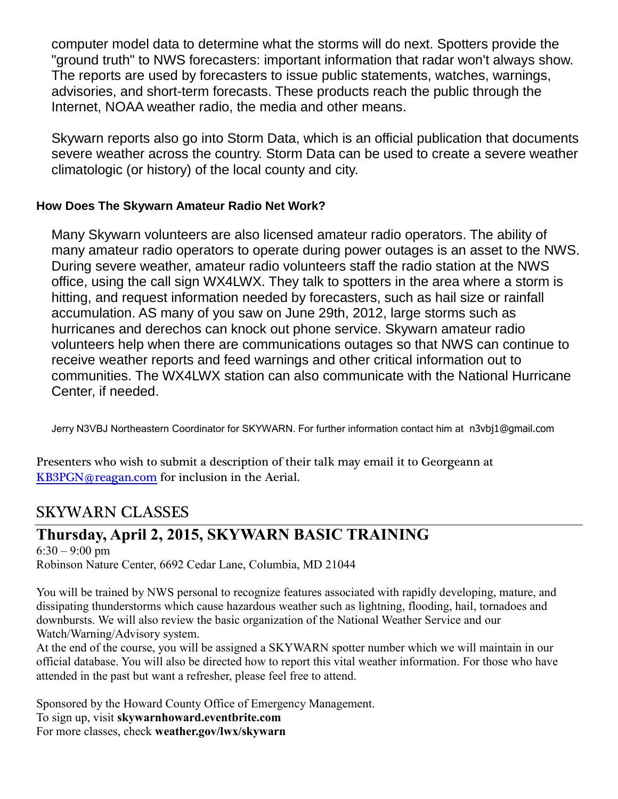computer model data to determine what the storms will do next. Spotters provide the "ground truth" to NWS forecasters: important information that radar won't always show. The reports are used by forecasters to issue public statements, watches, warnings, advisories, and short-term forecasts. These products reach the public through the Internet, NOAA weather radio, the media and other means.

Skywarn reports also go into Storm Data, which is an official publication that documents severe weather across the country. Storm Data can be used to create a severe weather climatologic (or history) of the local county and city.

#### **How Does The Skywarn Amateur Radio Net Work?**

Many Skywarn volunteers are also licensed amateur radio operators. The ability of many amateur radio operators to operate during power outages is an asset to the NWS. During severe weather, amateur radio volunteers staff the radio station at the NWS office, using the call sign WX4LWX. They talk to spotters in the area where a storm is hitting, and request information needed by forecasters, such as hail size or rainfall accumulation. AS many of you saw on June 29th, 2012, large storms such as hurricanes and derechos can knock out phone service. Skywarn amateur radio volunteers help when there are communications outages so that NWS can continue to receive weather reports and feed warnings and other critical information out to communities. The WX4LWX station can also communicate with the National Hurricane Center, if needed.

Jerry N3VBJ Northeastern Coordinator for SKYWARN. For further information contact him at n3vbj1@gmail.com

Presenters who wish to submit a description of their talk may email it to Georgeann at [KB3PGN@reagan.com](mailto:KB3PGN@reagan.com) for inclusion in the Aerial.

### SKYWARN CLASSES

### **Thursday, April 2, 2015, SKYWARN BASIC TRAINING**

 $6:30 - 9:00$  pm Robinson Nature Center, 6692 Cedar Lane, Columbia, MD 21044

You will be trained by NWS personal to recognize features associated with rapidly developing, mature, and dissipating thunderstorms which cause hazardous weather such as lightning, flooding, hail, tornadoes and downbursts. We will also review the basic organization of the National Weather Service and our Watch/Warning/Advisory system.

At the end of the course, you will be assigned a SKYWARN spotter number which we will maintain in our official database. You will also be directed how to report this vital weather information. For those who have attended in the past but want a refresher, please feel free to attend.

Sponsored by the Howard County Office of Emergency Management. To sign up, visit **skywarnhoward.eventbrite.com** For more classes, check **weather.gov/lwx/skywarn**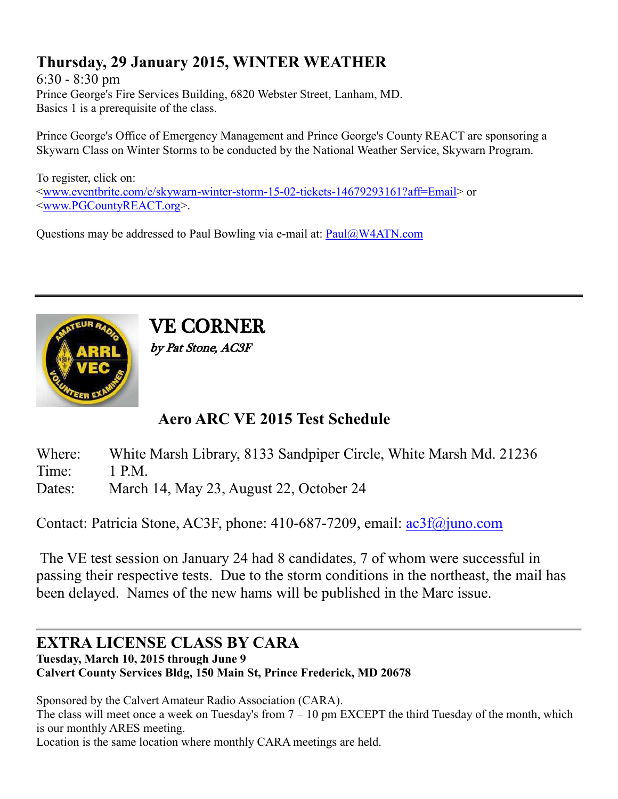## **Thursday, 29 January 2015, WINTER WEATHER**

6:30 - 8:30 pm Prince George's Fire Services Building, 6820 Webster Street, Lanham, MD. Basics 1 is a prerequisite of the class.

Prince George's Office of Emergency Management and Prince George's County REACT are sponsoring a Skywarn Class on Winter Storms to be conducted by the National Weather Service, Skywarn Program.

To register, click on: [<www.eventbrite.com/e/skywarn-winter-storm-15-02-tickets-14679293161?aff=Email>](http://www.eventbrite.com/e/skywarn-winter-storm-15-02-tickets-14679293161?aff=Email) or [<www.PGCountyREACT.org>](http://www.pgcountyreact.org/).

Questions may be addressed to Paul Bowling via e-mail at: [Paul@W4ATN.com](mailto:Paul@W4ATN.com)



VE CORNER by Pat Stone, AC3F

## **Aero ARC VE 2015 Test Schedule**

- Where: White Marsh Library, 8133 Sandpiper Circle, White Marsh Md. 21236
- Time: 1 P.M.
- Dates: March 14, May 23, August 22, October 24

Contact: Patricia Stone, AC3F, phone: 410-687-7209, email: [ac3f@juno.com](mailto:ac3f@juno.com)

The VE test session on January 24 had 8 candidates, 7 of whom were successful in passing their respective tests. Due to the storm conditions in the northeast, the mail has been delayed. Names of the new hams will be published in the Marc issue.

#### **EXTRA LICENSE CLASS BY CARA Tuesday, March 10, 2015 through June 9**

**Calvert County Services Bldg, 150 Main St, Prince Frederick, MD 20678**

Sponsored by the Calvert Amateur Radio Association (CARA).

The class will meet once a week on Tuesday's from 7 – 10 pm EXCEPT the third Tuesday of the month, which is our monthly ARES meeting.

Location is the same location where monthly CARA meetings are held.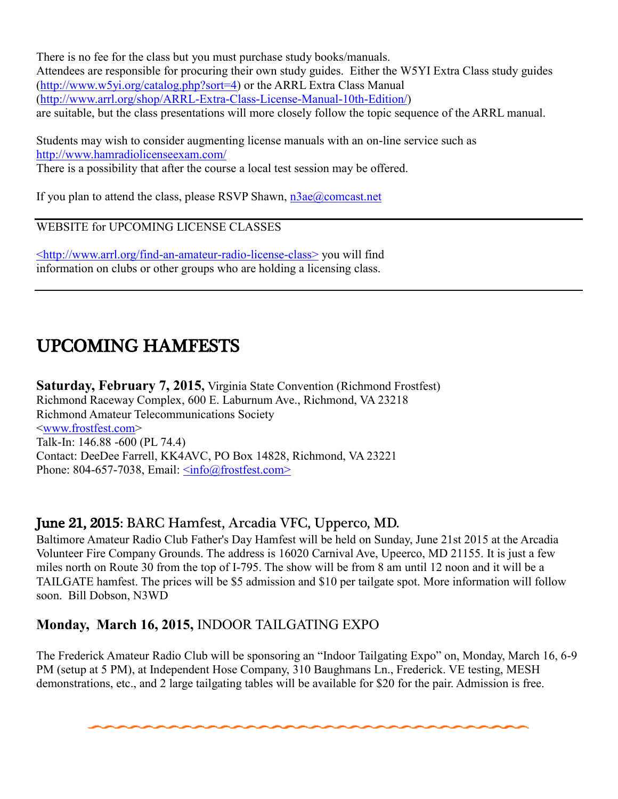There is no fee for the class but you must purchase study books/manuals. Attendees are responsible for procuring their own study guides. Either the W5YI Extra Class study guides [\(http://www.w5yi.org/catalog.php?sort=4\)](http://www.w5yi.org/catalog.php?sort=4) or the ARRL Extra Class Manual [\(http://www.arrl.org/shop/ARRL-Extra-Class-License-Manual-10th-Edition/\)](http://www.arrl.org/shop/ARRL-Extra-Class-License-Manual-10th-Edition/) are suitable, but the class presentations will more closely follow the topic sequence of the ARRL manual.

Students may wish to consider augmenting license manuals with an on-line service such as <http://www.hamradiolicenseexam.com/> There is a possibility that after the course a local test session may be offered.

If you plan to attend the class, please RSVP Shawn,  $n\frac{3ae}{a}$ comcast.net

WEBSITE for UPCOMING LICENSE CLASSES

[<http://www.arrl.org/find-an-amateur-radio-license-class>](http://www.arrl.org/find-an-amateur-radio-license-class) you will find information on clubs or other groups who are holding a licensing class.

## UPCOMING HAMFESTS

**Saturday, February 7, 2015,** Virginia State Convention (Richmond Frostfest) Richmond Raceway Complex, 600 E. Laburnum Ave., Richmond, VA 23218 Richmond Amateur Telecommunications Society [<www.frostfest.com>](http://www.frostfest.com/) Talk-In: 146.88 -600 (PL 74.4) Contact: DeeDee Farrell, KK4AVC, PO Box 14828, Richmond, VA 23221 Phone: 804-657-7038, Email:  $\langle \text{info}(\hat{a}) \text{frostfest.com} \rangle$ 

#### June 21, 2015: BARC Hamfest, Arcadia VFC, Upperco, MD.

Baltimore Amateur Radio Club Father's Day Hamfest will be held on Sunday, June 21st 2015 at the Arcadia Volunteer Fire Company Grounds. The address is 16020 Carnival Ave, Upeerco, MD 21155. It is just a few miles north on Route 30 from the top of I-795. The show will be from 8 am until 12 noon and it will be a TAILGATE hamfest. The prices will be \$5 admission and \$10 per tailgate spot. More information will follow soon. Bill Dobson, N3WD

#### **Monday, March 16, 2015,** INDOOR TAILGATING EXPO

The Frederick Amateur Radio Club will be sponsoring an "Indoor Tailgating Expo" on, Monday, March 16, 6-9 PM (setup at 5 PM), at Independent Hose Company, 310 Baughmans Ln., Frederick. VE testing, MESH demonstrations, etc., and 2 large tailgating tables will be available for \$20 for the pair. Admission is free.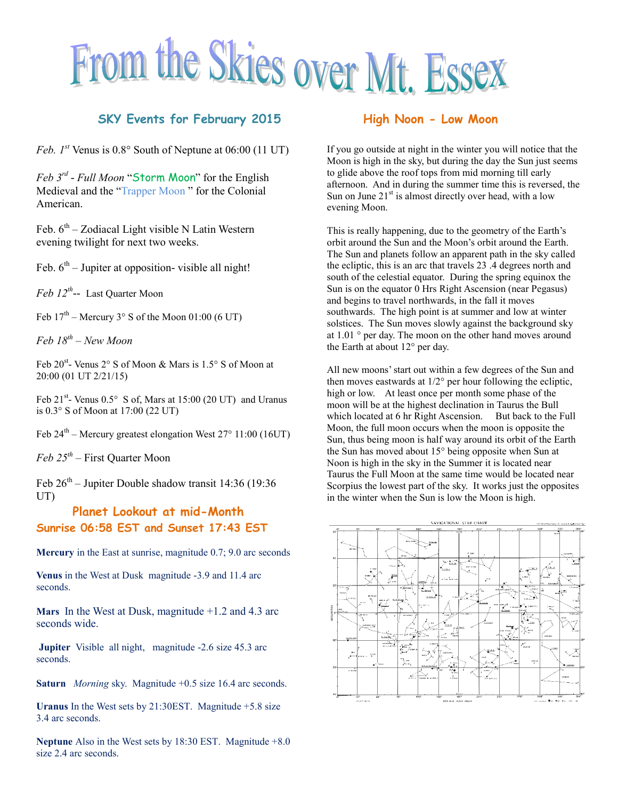# From the Skies over Mt. Essex

#### **SKY Events for February 2015**

*Feb.*  $I^{st}$  Venus is  $0.8^\circ$  South of Neptune at  $06:00$  (11 UT)

*Feb 3rd - Full Moon* "Storm Moon" for the English Medieval and the "Trapper Moon " for the Colonial American.

Feb.  $6<sup>th</sup>$  – Zodiacal Light visible N Latin Western evening twilight for next two weeks.

Feb.  $6<sup>th</sup>$  – Jupiter at opposition- visible all night!

*Feb 12th --* Last Quarter Moon

Feb  $17<sup>th</sup>$  – Mercury 3° S of the Moon 01:00 (6 UT)

*Feb 18th – New Moon*

Feb 20<sup>st</sup>- Venus 2° S of Moon & Mars is 1.5° S of Moon at 20:00 (01 UT 2/21/15)

Feb  $21^{st}$ - Venus  $0.5^{\circ}$  S of, Mars at 15:00 (20 UT) and Uranus is 0.3° S of Moon at 17:00 (22 UT)

Feb  $24<sup>th</sup>$  – Mercury greatest elongation West  $27<sup>o</sup>$  11:00 (16UT)

*Feb 25th –* First Quarter Moon

Feb  $26<sup>th</sup>$  – Jupiter Double shadow transit 14:36 (19:36) UT)

#### **Planet Lookout at mid-Month Sunrise 06:58 EST and Sunset 17:43 EST**

**Mercury** in the East at sunrise, magnitude 0.7; 9.0 arc seconds

**Venus** in the West at Dusk magnitude -3.9 and 11.4 arc seconds.

**Mars** In the West at Dusk, magnitude +1.2 and 4.3 arc seconds wide.

**Jupiter** Visible all night, magnitude -2.6 size 45.3 arc seconds.

**Saturn** *Morning* sky. Magnitude +0.5 size 16.4 arc seconds.

**Uranus** In the West sets by 21:30EST. Magnitude +5.8 size 3.4 arc seconds.

**Neptune** Also in the West sets by 18:30 EST. Magnitude +8.0 size 2.4 arc seconds.

#### **High Noon - Low Moon**

If you go outside at night in the winter you will notice that the Moon is high in the sky, but during the day the Sun just seems to glide above the roof tops from mid morning till early afternoon. And in during the summer time this is reversed, the Sun on June  $21<sup>st</sup>$  is almost directly over head, with a low evening Moon.

This is really happening, due to the geometry of the Earth's orbit around the Sun and the Moon's orbit around the Earth. The Sun and planets follow an apparent path in the sky called the ecliptic, this is an arc that travels 23 .4 degrees north and south of the celestial equator. During the spring equinox the Sun is on the equator 0 Hrs Right Ascension (near Pegasus) and begins to travel northwards, in the fall it moves southwards. The high point is at summer and low at winter solstices. The Sun moves slowly against the background sky at 1.01 ° per day. The moon on the other hand moves around the Earth at about 12° per day.

All new moons' start out within a few degrees of the Sun and then moves eastwards at 1/2° per hour following the ecliptic, high or low. At least once per month some phase of the moon will be at the highest declination in Taurus the Bull which located at 6 hr Right Ascension. But back to the Full Moon, the full moon occurs when the moon is opposite the Sun, thus being moon is half way around its orbit of the Earth the Sun has moved about 15° being opposite when Sun at Noon is high in the sky in the Summer it is located near Taurus the Full Moon at the same time would be located near Scorpius the lowest part of the sky. It works just the opposites in the winter when the Sun is low the Moon is high.